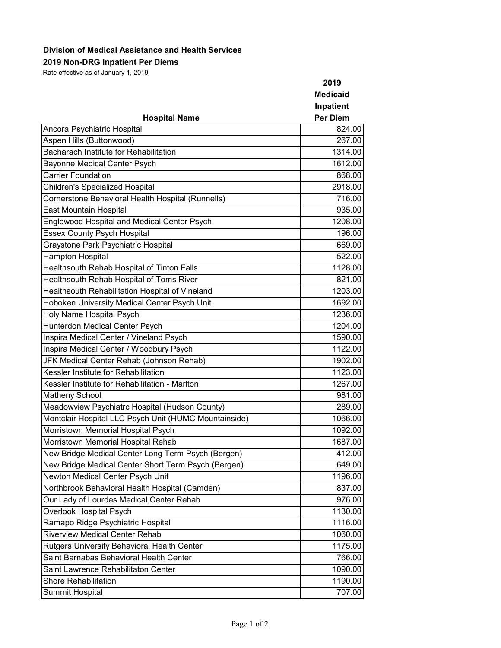## **Division of Medical Assistance and Health Services**

**2019 Non-DRG Inpatient Per Diems**

Rate effective as of January 1, 2019

|                                                       | 2019                                            |                             |        |
|-------------------------------------------------------|-------------------------------------------------|-----------------------------|--------|
| <b>Hospital Name</b>                                  | <b>Medicaid</b><br>Inpatient<br><b>Per Diem</b> |                             |        |
|                                                       |                                                 | Ancora Psychiatric Hospital | 824.00 |
|                                                       |                                                 | Aspen Hills (Buttonwood)    | 267.00 |
| <b>Bacharach Institute for Rehabilitation</b>         | 1314.00                                         |                             |        |
| <b>Bayonne Medical Center Psych</b>                   | 1612.00                                         |                             |        |
| <b>Carrier Foundation</b>                             | 868.00                                          |                             |        |
| Children's Specialized Hospital                       | 2918.00                                         |                             |        |
| Cornerstone Behavioral Health Hospital (Runnells)     | 716.00                                          |                             |        |
| East Mountain Hospital                                | 935.00                                          |                             |        |
| Englewood Hospital and Medical Center Psych           | 1208.00                                         |                             |        |
| <b>Essex County Psych Hospital</b>                    | 196.00                                          |                             |        |
| Graystone Park Psychiatric Hospital                   | 669.00                                          |                             |        |
| <b>Hampton Hospital</b>                               | 522.00                                          |                             |        |
| Healthsouth Rehab Hospital of Tinton Falls            | 1128.00                                         |                             |        |
| Healthsouth Rehab Hospital of Toms River              | 821.00                                          |                             |        |
| Healthsouth Rehabilitation Hospital of Vineland       | 1203.00                                         |                             |        |
| Hoboken University Medical Center Psych Unit          | 1692.00                                         |                             |        |
| Holy Name Hospital Psych                              | 1236.00                                         |                             |        |
| Hunterdon Medical Center Psych                        | 1204.00                                         |                             |        |
| Inspira Medical Center / Vineland Psych               | 1590.00                                         |                             |        |
| Inspira Medical Center / Woodbury Psych               | 1122.00                                         |                             |        |
| JFK Medical Center Rehab (Johnson Rehab)              | 1902.00                                         |                             |        |
| Kessler Institute for Rehabilitation                  | 1123.00                                         |                             |        |
| Kessler Institute for Rehabilitation - Marlton        | 1267.00                                         |                             |        |
| Matheny School                                        | 981.00                                          |                             |        |
| Meadowview Psychiatrc Hospital (Hudson County)        | 289.00                                          |                             |        |
| Montclair Hospital LLC Psych Unit (HUMC Mountainside) | 1066.00                                         |                             |        |
| Morristown Memorial Hospital Psych                    | 1092.00                                         |                             |        |
| Morristown Memorial Hospital Rehab                    | 1687.00                                         |                             |        |
| New Bridge Medical Center Long Term Psych (Bergen)    | 412.00                                          |                             |        |
| New Bridge Medical Center Short Term Psych (Bergen)   | 649.00                                          |                             |        |
| Newton Medical Center Psych Unit                      | 1196.00                                         |                             |        |
| Northbrook Behavioral Health Hospital (Camden)        | 837.00                                          |                             |        |
| Our Lady of Lourdes Medical Center Rehab              | 976.00                                          |                             |        |
| Overlook Hospital Psych                               | 1130.00                                         |                             |        |
| Ramapo Ridge Psychiatric Hospital                     | 1116.00                                         |                             |        |
| <b>Riverview Medical Center Rehab</b>                 | 1060.00                                         |                             |        |
| Rutgers University Behavioral Health Center           | 1175.00                                         |                             |        |
| Saint Barnabas Behavioral Health Center               | 766.00                                          |                             |        |
| Saint Lawrence Rehabilitaton Center                   | 1090.00                                         |                             |        |
| <b>Shore Rehabilitation</b>                           | 1190.00                                         |                             |        |
| Summit Hospital                                       | 707.00                                          |                             |        |